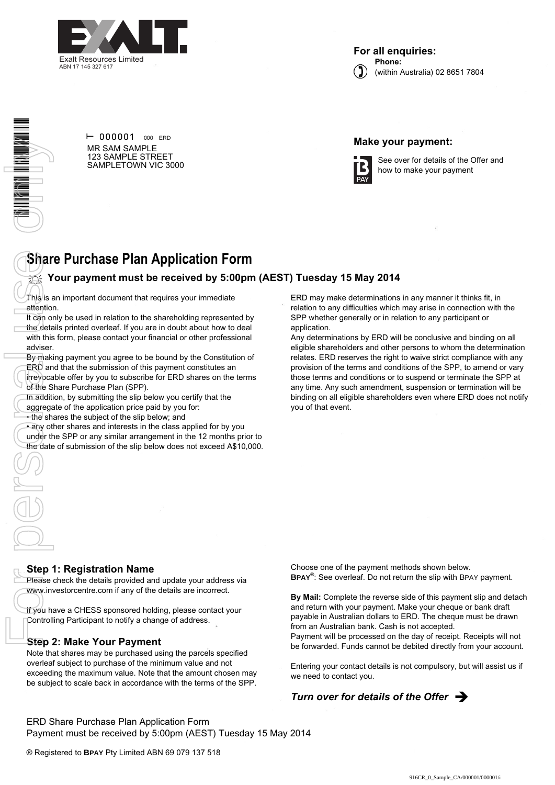

**For all enquiries: Phone:** (within Australia) 02 8651 7804



 $\vdash$  000001 000 ERD MR SAM SAMPLE 123 SAMPLE STREET SAMPLETOWN VIC 3000

### **Make your payment:**



See over for details of the Offer and how to make your payment

# **Share Purchase Plan Application Form**

## **Your payment must be received by 5:00pm (AEST) Tuesday 15 May 2014**

This is an important document that requires your immediate attention.

It can only be used in relation to the shareholding represented by the details printed overleaf. If you are in doubt about how to deal with this form, please contact your financial or other professional adviser.

By making payment you agree to be bound by the Constitution of

ERD and that the submission of this payment constitutes an irrevocable offer by you to subscribe for ERD shares on the terms of the Share Purchase Plan (SPP).

In addition, by submitting the slip below you certify that the

aggregate of the application price paid by you for:

• the shares the subject of the slip below; and

• any other shares and interests in the class applied for by you under the SPP or any similar arrangement in the 12 months prior to the date of submission of the slip below does not exceed A\$10,000. ERD may make determinations in any manner it thinks fit, in relation to any difficulties which may arise in connection with the SPP whether generally or in relation to any participant or application.

Any determinations by ERD will be conclusive and binding on all eligible shareholders and other persons to whom the determination relates. ERD reserves the right to waive strict compliance with any provision of the terms and conditions of the SPP, to amend or vary those terms and conditions or to suspend or terminate the SPP at any time. Any such amendment, suspension or termination will be binding on all eligible shareholders even where ERD does not notify you of that event.

#### **Step 1: Registration Name**

Please check the details provided and update your address via www.investorcentre.com if any of the details are incorrect.

If you have a CHESS sponsored holding, please contact your Controlling Participant to notify a change of address.

#### **Step 2: Make Your Payment**

Note that shares may be purchased using the parcels specified overleaf subject to purchase of the minimum value and not exceeding the maximum value. Note that the amount chosen may be subject to scale back in accordance with the terms of the SPP. Choose one of the payment methods shown below. **BPAY**® : See overleaf. Do not return the slip with BPAY payment.

**By Mail:** Complete the reverse side of this payment slip and detach and return with your payment. Make your cheque or bank draft payable in Australian dollars to ERD. The cheque must be drawn from an Australian bank. Cash is not accepted.

Payment will be processed on the day of receipt. Receipts will not be forwarded. Funds cannot be debited directly from your account.

Entering your contact details is not compulsory, but will assist us if we need to contact you.

## **Turn over for details of the Offer**  $\rightarrow$

ERD Share Purchase Plan Application Form Payment must be received by 5:00pm (AEST) Tuesday 15 May 2014

® Registered to **BPAY** Pty Limited ABN 69 079 137 518